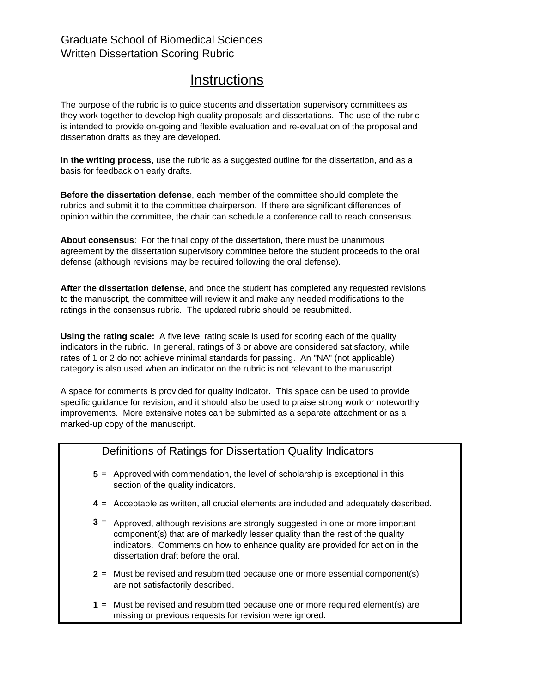## Graduate School of Biomedical Sciences Written Dissertation Scoring Rubric

## **Instructions**

The purpose of the rubric is to guide students and dissertation supervisory committees as they work together to develop high quality proposals and dissertations. The use of the rubric is intended to provide on-going and flexible evaluation and re-evaluation of the proposal and dissertation drafts as they are developed.

**In the writing process**, use the rubric as a suggested outline for the dissertation, and as a basis for feedback on early drafts.

**Before the dissertation defense**, each member of the committee should complete the rubrics and submit it to the committee chairperson. If there are significant differences of opinion within the committee, the chair can schedule a conference call to reach consensus.

**About consensus**: For the final copy of the dissertation, there must be unanimous agreement by the dissertation supervisory committee before the student proceeds to the oral defense (although revisions may be required following the oral defense).

**After the dissertation defense**, and once the student has completed any requested revisions to the manuscript, the committee will review it and make any needed modifications to the ratings in the consensus rubric. The updated rubric should be resubmitted.

**Using the rating scale:** A five level rating scale is used for scoring each of the quality indicators in the rubric. In general, ratings of 3 or above are considered satisfactory, while rates of 1 or 2 do not achieve minimal standards for passing. An "NA" (not applicable) category is also used when an indicator on the rubric is not relevant to the manuscript.

A space for comments is provided for quality indicator. This space can be used to provide specific guidance for revision, and it should also be used to praise strong work or noteworthy improvements. More extensive notes can be submitted as a separate attachment or as a marked-up copy of the manuscript.

## Definitions of Ratings for Dissertation Quality Indicators

- **5** = Approved with commendation, the level of scholarship is exceptional in this section of the quality indicators.
- **4** = Acceptable as written, all crucial elements are included and adequately described.
- **3** = Approved, although revisions are strongly suggested in one or more important component(s) that are of markedly lesser quality than the rest of the quality indicators. Comments on how to enhance quality are provided for action in the dissertation draft before the oral.
- **2** = Must be revised and resubmitted because one or more essential component(s) are not satisfactorily described.
- **1** = Must be revised and resubmitted because one or more required element(s) are missing or previous requests for revision were ignored.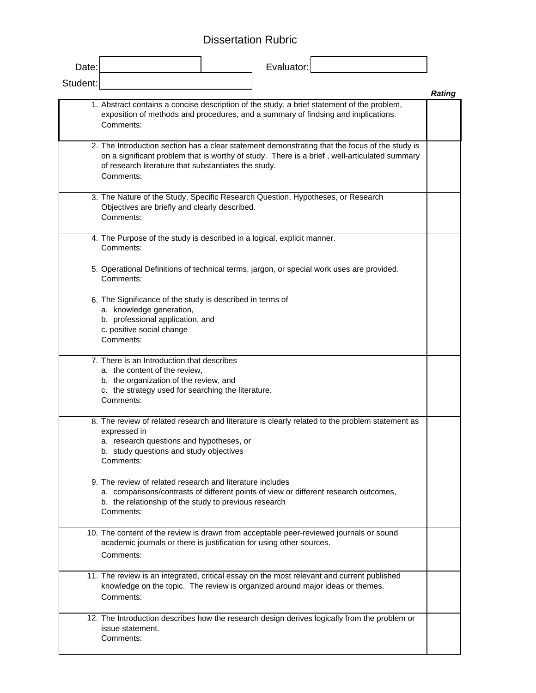## Dissertation Rubric

| Date:    |                                                                                                                                                                                                                                                                     | Evaluator: |                                                                                                 |               |
|----------|---------------------------------------------------------------------------------------------------------------------------------------------------------------------------------------------------------------------------------------------------------------------|------------|-------------------------------------------------------------------------------------------------|---------------|
| Student: |                                                                                                                                                                                                                                                                     |            |                                                                                                 | <b>Rating</b> |
|          | 1. Abstract contains a concise description of the study, a brief statement of the problem,<br>exposition of methods and procedures, and a summary of findsing and implications.<br>Comments:                                                                        |            |                                                                                                 |               |
|          | 2. The Introduction section has a clear statement demonstrating that the focus of the study is<br>on a significant problem that is worthy of study. There is a brief, well-articulated summary<br>of research literature that substantiates the study.<br>Comments: |            |                                                                                                 |               |
|          | 3. The Nature of the Study, Specific Research Question, Hypotheses, or Research<br>Objectives are briefly and clearly described.<br>Comments:                                                                                                                       |            |                                                                                                 |               |
|          | 4. The Purpose of the study is described in a logical, explicit manner.<br>Comments:                                                                                                                                                                                |            |                                                                                                 |               |
|          | 5. Operational Definitions of technical terms, jargon, or special work uses are provided.<br>Comments:                                                                                                                                                              |            |                                                                                                 |               |
|          | 6. The Significance of the study is described in terms of<br>a. knowledge generation,<br>b. professional application, and<br>c. positive social change<br>Comments:                                                                                                 |            |                                                                                                 |               |
|          | 7. There is an Introduction that describes<br>a. the content of the review,<br>b. the organization of the review, and<br>c. the strategy used for searching the literature.<br>Comments:                                                                            |            |                                                                                                 |               |
|          | expressed in<br>a. research questions and hypotheses, or<br>b. study questions and study objectives<br>Comments:                                                                                                                                                    |            | 8. The review of related research and literature is clearly related to the problem statement as |               |
|          | 9. The review of related research and literature includes<br>b. the relationship of the study to previous research<br>Comments:                                                                                                                                     |            | a. comparisons/contrasts of different points of view or different research outcomes,            |               |
|          | academic journals or there is justification for using other sources.<br>Comments:                                                                                                                                                                                   |            | 10. The content of the review is drawn from acceptable peer-reviewed journals or sound          |               |
|          | knowledge on the topic. The review is organized around major ideas or themes.<br>Comments:                                                                                                                                                                          |            | 11. The review is an integrated, critical essay on the most relevant and current published      |               |
|          | issue statement.<br>Comments:                                                                                                                                                                                                                                       |            | 12. The Introduction describes how the research design derives logically from the problem or    |               |